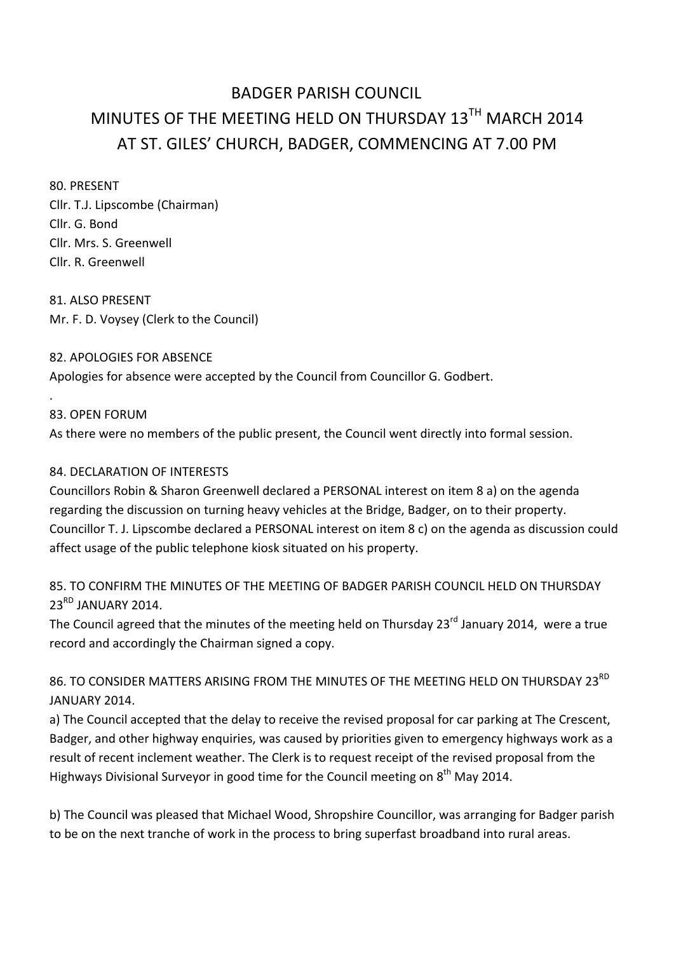# BADGER PARISH COUNCIL MINUTES OF THE MEETING HELD ON THURSDAY  $13^{TH}$  MARCH 2014 AT ST. GILES' CHURCH, BADGER, COMMENCING AT 7.00 PM

80. PRESENT Cllr. T.J. Lipscombe (Chairman) Cllr. G. Bond Cllr. Mrs. S. Greenwell Cllr. R. Greenwell

81. ALSO PRESENT Mr. F. D. Voysey (Clerk to the Council)

#### 82. APOLOGIES FOR ABSENCE

Apologies for absence were accepted by the Council from Councillor G. Godbert.

## 83. OPEN FORUM

.

As there were no members of the public present, the Council went directly into formal session.

### 84. DECLARATION OF INTERESTS

Councillors Robin & Sharon Greenwell declared a PERSONAL interest on item 8 a) on the agenda regarding the discussion on turning heavy vehicles at the Bridge, Badger, on to their property. Councillor T. J. Lipscombe declared a PERSONAL interest on item 8 c) on the agenda as discussion could affect usage of the public telephone kiosk situated on his property.

## 85. TO CONFIRM THE MINUTES OF THE MEETING OF BADGER PARISH COUNCIL HELD ON THURSDAY 23<sup>RD</sup> JANUARY 2014.

The Council agreed that the minutes of the meeting held on Thursday  $23^{rd}$  January 2014, were a true record and accordingly the Chairman signed a copy.

86. TO CONSIDER MATTERS ARISING FROM THE MINUTES OF THE MEETING HELD ON THURSDAY 23<sup>RD</sup> JANUARY 2014.

a) The Council accepted that the delay to receive the revised proposal for car parking at The Crescent, Badger, and other highway enquiries, was caused by priorities given to emergency highways work as a result of recent inclement weather. The Clerk is to request receipt of the revised proposal from the Highways Divisional Surveyor in good time for the Council meeting on  $8<sup>th</sup>$  May 2014.

b) The Council was pleased that Michael Wood, Shropshire Councillor, was arranging for Badger parish to be on the next tranche of work in the process to bring superfast broadband into rural areas.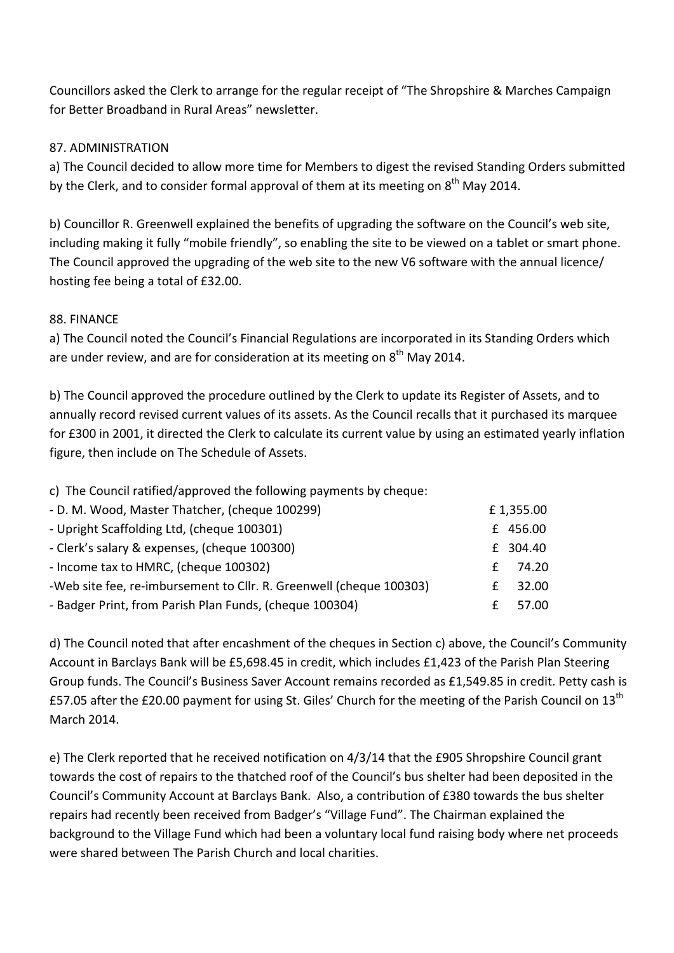Councillors asked the Clerk to arrange for the regular receipt of "The Shropshire & Marches Campaign for Better Broadband in Rural Areas" newsletter.

#### 87. ADMINISTRATION

a) The Council decided to allow more time for Members to digest the revised Standing Orders submitted by the Clerk, and to consider formal approval of them at its meeting on  $8^{th}$  May 2014.

b) Councillor R. Greenwell explained the benefits of upgrading the software on the Council's web site, including making it fully "mobile friendly", so enabling the site to be viewed on a tablet or smart phone. The Council approved the upgrading of the web site to the new V6 software with the annual licence/ hosting fee being a total of £32.00.

#### 88. FINANCE

a) The Council noted the Council's Financial Regulations are incorporated in its Standing Orders which are under review, and are for consideration at its meeting on  $8<sup>th</sup>$  May 2014.

b) The Council approved the procedure outlined by the Clerk to update its Register of Assets, and to annually record revised current values of its assets. As the Council recalls that it purchased its marquee for £300 in 2001, it directed the Clerk to calculate its current value by using an estimated yearly inflation figure, then include on The Schedule of Assets.

| C) The Council ratified/approved the following payments by cheque.  |   |           |
|---------------------------------------------------------------------|---|-----------|
| - D. M. Wood, Master Thatcher, (cheque 100299)                      |   | £1,355.00 |
| - Upright Scaffolding Ltd, (cheque 100301)                          |   | £ 456.00  |
| - Clerk's salary & expenses, (cheque 100300)                        |   | £ 304.40  |
| - Income tax to HMRC, (cheque 100302)                               | f | 74.20     |
| -Web site fee, re-imbursement to Cllr. R. Greenwell (cheque 100303) | f | 32.00     |
| - Badger Print, from Parish Plan Funds, (cheque 100304)             | £ | 57.00     |

 $\Gamma$  c) is a set of  $\Gamma$  and  $\Gamma$  approved the following payments by cheques:

d) The Council noted that after encashment of the cheques in Section c) above, the Council's Community Account in Barclays Bank will be £5,698.45 in credit, which includes £1,423 of the Parish Plan Steering Group funds. The Council's Business Saver Account remains recorded as £1,549.85 in credit. Petty cash is £57.05 after the £20.00 payment for using St. Giles' Church for the meeting of the Parish Council on 13<sup>th</sup> March 2014.

e) The Clerk reported that he received notification on 4/3/14 that the £905 Shropshire Council grant towards the cost of repairs to the thatched roof of the Council's bus shelter had been deposited in the Council's Community Account at Barclays Bank. Also, a contribution of £380 towards the bus shelter repairs had recently been received from Badger's "Village Fund". The Chairman explained the background to the Village Fund which had been a voluntary local fund raising body where net proceeds were shared between The Parish Church and local charities.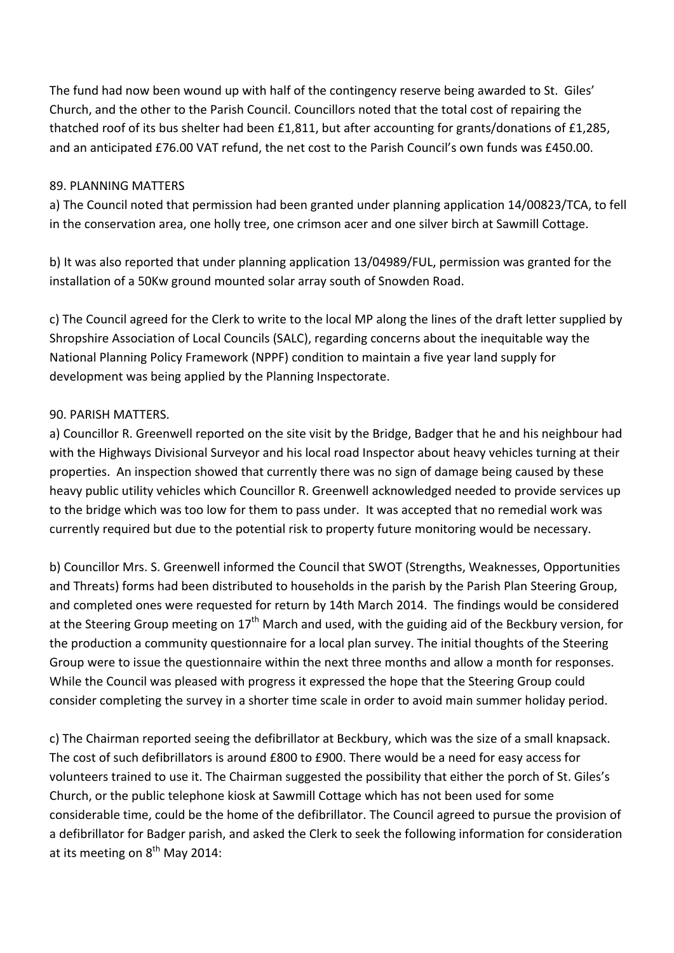The fund had now been wound up with half of the contingency reserve being awarded to St. Giles' Church, and the other to the Parish Council. Councillors noted that the total cost of repairing the thatched roof of its bus shelter had been £1,811, but after accounting for grants/donations of £1,285, and an anticipated £76.00 VAT refund, the net cost to the Parish Council's own funds was £450.00.

#### 89. PLANNING MATTERS

a) The Council noted that permission had been granted under planning application 14/00823/TCA, to fell in the conservation area, one holly tree, one crimson acer and one silver birch at Sawmill Cottage.

b) It was also reported that under planning application 13/04989/FUL, permission was granted for the installation of a 50Kw ground mounted solar array south of Snowden Road.

c) The Council agreed for the Clerk to write to the local MP along the lines of the draft letter supplied by Shropshire Association of Local Councils (SALC), regarding concerns about the inequitable way the National Planning Policy Framework (NPPF) condition to maintain a five year land supply for development was being applied by the Planning Inspectorate.

#### 90. PARISH MATTERS.

a) Councillor R. Greenwell reported on the site visit by the Bridge, Badger that he and his neighbour had with the Highways Divisional Surveyor and his local road Inspector about heavy vehicles turning at their properties. An inspection showed that currently there was no sign of damage being caused by these heavy public utility vehicles which Councillor R. Greenwell acknowledged needed to provide services up to the bridge which was too low for them to pass under. It was accepted that no remedial work was currently required but due to the potential risk to property future monitoring would be necessary.

b) Councillor Mrs. S. Greenwell informed the Council that SWOT (Strengths, Weaknesses, Opportunities and Threats) forms had been distributed to households in the parish by the Parish Plan Steering Group, and completed ones were requested for return by 14th March 2014. The findings would be considered at the Steering Group meeting on 17<sup>th</sup> March and used, with the guiding aid of the Beckbury version, for the production a community questionnaire for a local plan survey. The initial thoughts of the Steering Group were to issue the questionnaire within the next three months and allow a month for responses. While the Council was pleased with progress it expressed the hope that the Steering Group could consider completing the survey in a shorter time scale in order to avoid main summer holiday period.

c) The Chairman reported seeing the defibrillator at Beckbury, which was the size of a small knapsack. The cost of such defibrillators is around £800 to £900. There would be a need for easy access for volunteers trained to use it. The Chairman suggested the possibility that either the porch of St. Giles's Church, or the public telephone kiosk at Sawmill Cottage which has not been used for some considerable time, could be the home of the defibrillator. The Council agreed to pursue the provision of a defibrillator for Badger parish, and asked the Clerk to seek the following information for consideration at its meeting on  $8^{th}$  May 2014: